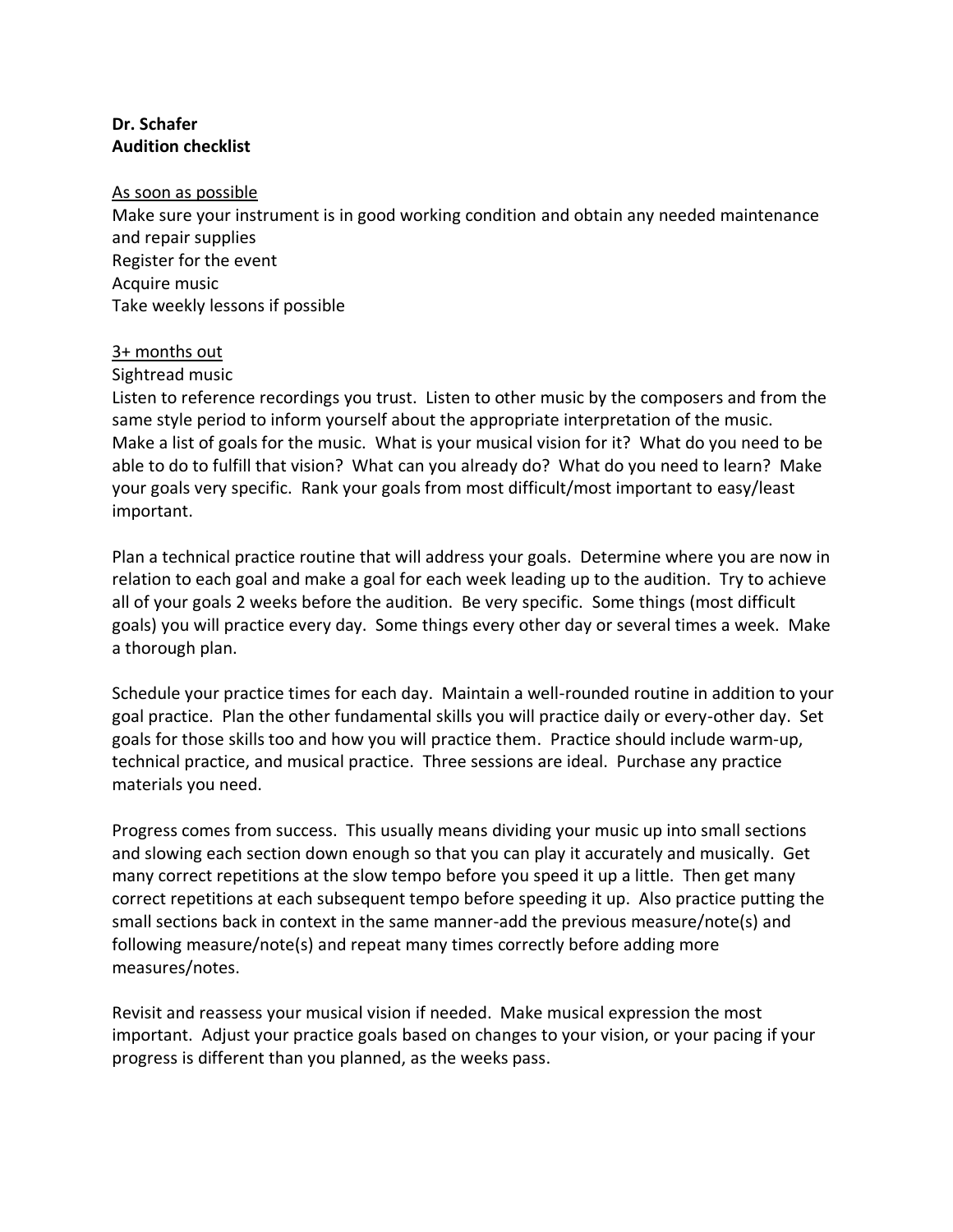# **Dr. Schafer Audition checklist**

#### As soon as possible

Make sure your instrument is in good working condition and obtain any needed maintenance and repair supplies Register for the event Acquire music Take weekly lessons if possible

## 3+ months out

Sightread music

Listen to reference recordings you trust. Listen to other music by the composers and from the same style period to inform yourself about the appropriate interpretation of the music. Make a list of goals for the music. What is your musical vision for it? What do you need to be able to do to fulfill that vision? What can you already do? What do you need to learn? Make your goals very specific. Rank your goals from most difficult/most important to easy/least important.

Plan a technical practice routine that will address your goals. Determine where you are now in relation to each goal and make a goal for each week leading up to the audition. Try to achieve all of your goals 2 weeks before the audition. Be very specific. Some things (most difficult goals) you will practice every day. Some things every other day or several times a week. Make a thorough plan.

Schedule your practice times for each day. Maintain a well-rounded routine in addition to your goal practice. Plan the other fundamental skills you will practice daily or every-other day. Set goals for those skills too and how you will practice them. Practice should include warm-up, technical practice, and musical practice. Three sessions are ideal. Purchase any practice materials you need.

Progress comes from success. This usually means dividing your music up into small sections and slowing each section down enough so that you can play it accurately and musically. Get many correct repetitions at the slow tempo before you speed it up a little. Then get many correct repetitions at each subsequent tempo before speeding it up. Also practice putting the small sections back in context in the same manner-add the previous measure/note(s) and following measure/note(s) and repeat many times correctly before adding more measures/notes.

Revisit and reassess your musical vision if needed. Make musical expression the most important. Adjust your practice goals based on changes to your vision, or your pacing if your progress is different than you planned, as the weeks pass.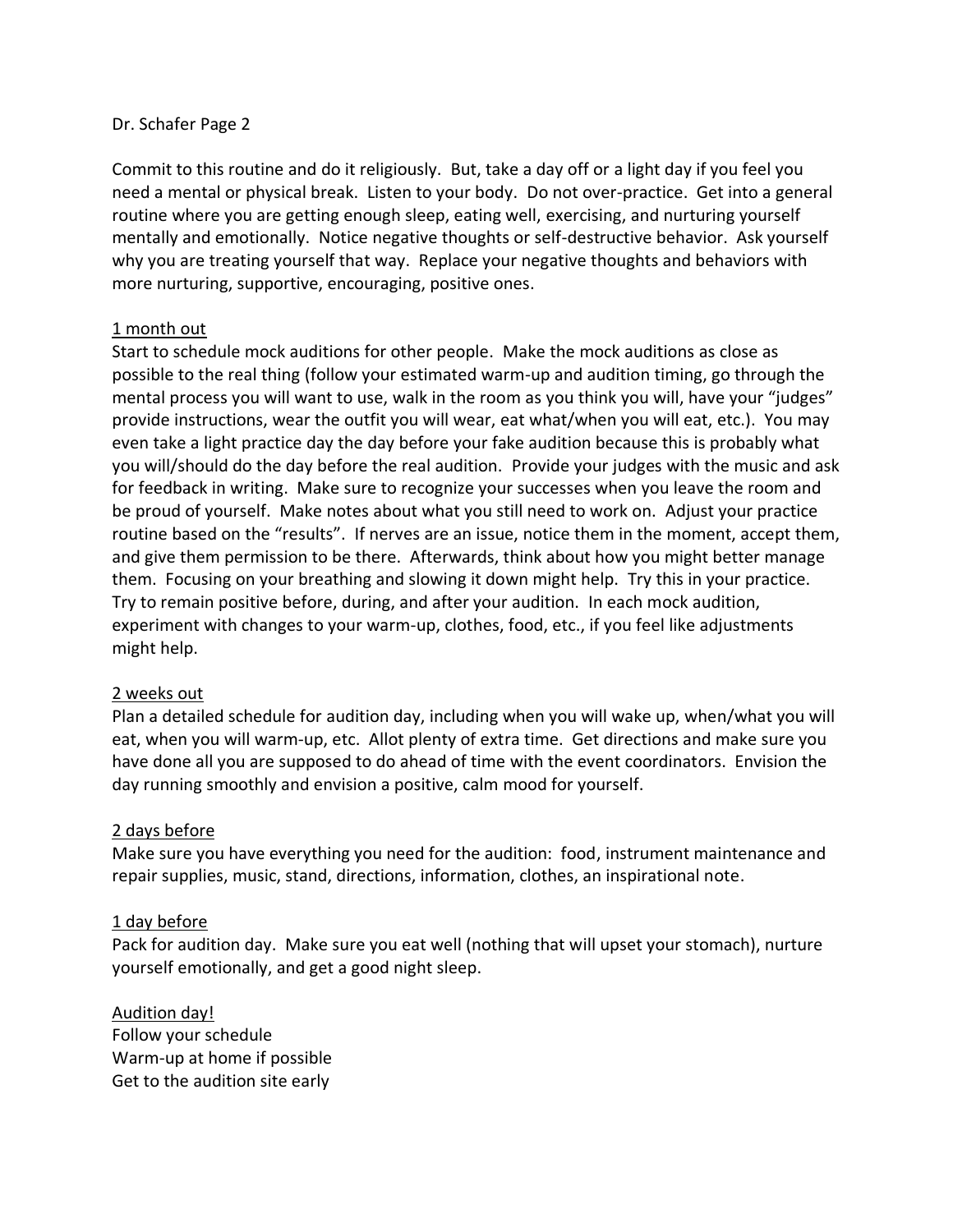#### Dr. Schafer Page 2

Commit to this routine and do it religiously. But, take a day off or a light day if you feel you need a mental or physical break. Listen to your body. Do not over-practice. Get into a general routine where you are getting enough sleep, eating well, exercising, and nurturing yourself mentally and emotionally. Notice negative thoughts or self-destructive behavior. Ask yourself why you are treating yourself that way. Replace your negative thoughts and behaviors with more nurturing, supportive, encouraging, positive ones.

## 1 month out

Start to schedule mock auditions for other people. Make the mock auditions as close as possible to the real thing (follow your estimated warm-up and audition timing, go through the mental process you will want to use, walk in the room as you think you will, have your "judges" provide instructions, wear the outfit you will wear, eat what/when you will eat, etc.). You may even take a light practice day the day before your fake audition because this is probably what you will/should do the day before the real audition. Provide your judges with the music and ask for feedback in writing. Make sure to recognize your successes when you leave the room and be proud of yourself. Make notes about what you still need to work on. Adjust your practice routine based on the "results". If nerves are an issue, notice them in the moment, accept them, and give them permission to be there. Afterwards, think about how you might better manage them. Focusing on your breathing and slowing it down might help. Try this in your practice. Try to remain positive before, during, and after your audition. In each mock audition, experiment with changes to your warm-up, clothes, food, etc., if you feel like adjustments might help.

## 2 weeks out

Plan a detailed schedule for audition day, including when you will wake up, when/what you will eat, when you will warm-up, etc. Allot plenty of extra time. Get directions and make sure you have done all you are supposed to do ahead of time with the event coordinators. Envision the day running smoothly and envision a positive, calm mood for yourself.

## 2 days before

Make sure you have everything you need for the audition: food, instrument maintenance and repair supplies, music, stand, directions, information, clothes, an inspirational note.

## 1 day before

Pack for audition day. Make sure you eat well (nothing that will upset your stomach), nurture yourself emotionally, and get a good night sleep.

Audition day! Follow your schedule Warm-up at home if possible Get to the audition site early